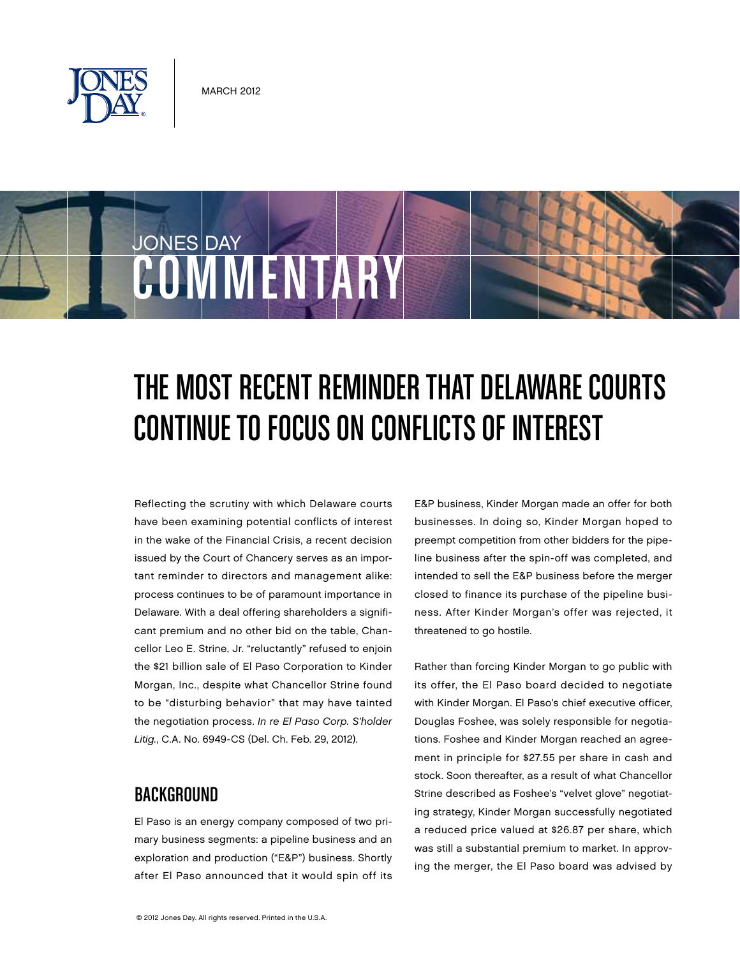

COMMENTARY

JONES DAY

# THE MOST RECENT REMINDER THAT DELAWARE COURTS Continue to Focus on Conflicts of Interest

Reflecting the scrutiny with which Delaware courts have been examining potential conflicts of interest in the wake of the Financial Crisis, a recent decision issued by the Court of Chancery serves as an important reminder to directors and management alike: process continues to be of paramount importance in Delaware. With a deal offering shareholders a significant premium and no other bid on the table, Chancellor Leo E. Strine, Jr. "reluctantly" refused to enjoin the \$21 billion sale of El Paso Corporation to Kinder Morgan, Inc., despite what Chancellor Strine found to be "disturbing behavior" that may have tainted the negotiation process. In re El Paso Corp. S'holder Litig., C.A. No. 6949-CS (Del. Ch. Feb. 29, 2012).

### **BACKGROUND**

El Paso is an energy company composed of two primary business segments: a pipeline business and an exploration and production ("E&P") business. Shortly after El Paso announced that it would spin off its E&P business, Kinder Morgan made an offer for both businesses. In doing so, Kinder Morgan hoped to preempt competition from other bidders for the pipeline business after the spin-off was completed, and intended to sell the E&P business before the merger closed to finance its purchase of the pipeline business. After Kinder Morgan's offer was rejected, it threatened to go hostile.

Rather than forcing Kinder Morgan to go public with its offer, the El Paso board decided to negotiate with Kinder Morgan. El Paso's chief executive officer, Douglas Foshee, was solely responsible for negotiations. Foshee and Kinder Morgan reached an agreement in principle for \$27.55 per share in cash and stock. Soon thereafter, as a result of what Chancellor Strine described as Foshee's "velvet glove" negotiating strategy, Kinder Morgan successfully negotiated a reduced price valued at \$26.87 per share, which was still a substantial premium to market. In approving the merger, the El Paso board was advised by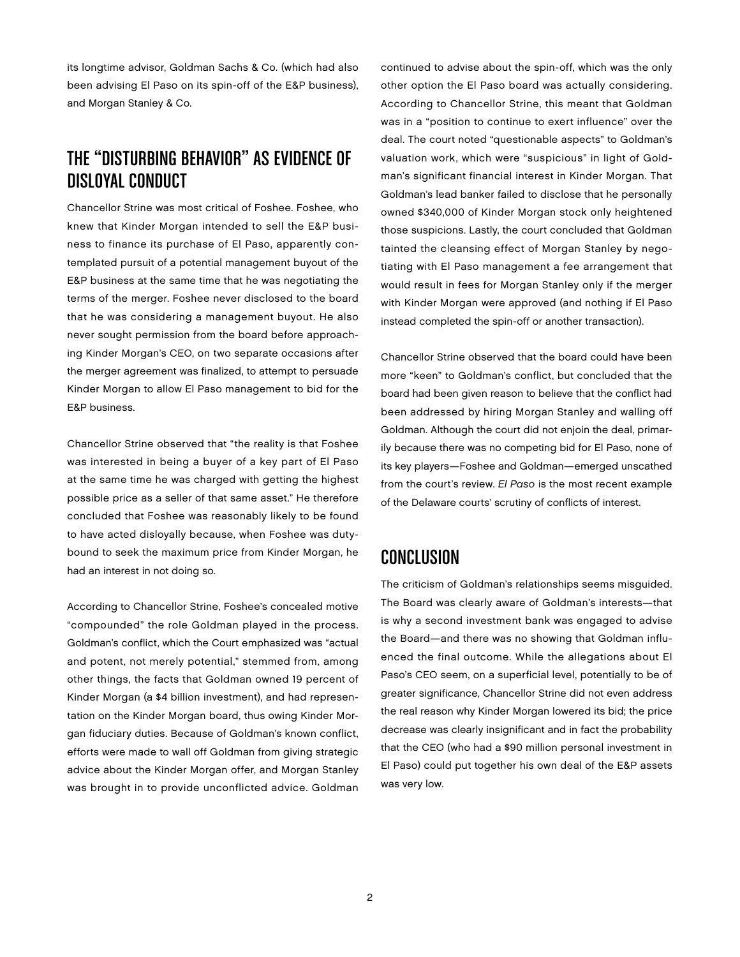its longtime advisor, Goldman Sachs & Co. (which had also been advising El Paso on its spin-off of the E&P business), and Morgan Stanley & Co.

## The "Disturbing Behavior" as Evidence of Disloyal Conduct

Chancellor Strine was most critical of Foshee. Foshee, who knew that Kinder Morgan intended to sell the E&P business to finance its purchase of El Paso, apparently contemplated pursuit of a potential management buyout of the E&P business at the same time that he was negotiating the terms of the merger. Foshee never disclosed to the board that he was considering a management buyout. He also never sought permission from the board before approaching Kinder Morgan's CEO, on two separate occasions after the merger agreement was finalized, to attempt to persuade Kinder Morgan to allow El Paso management to bid for the E&P business.

Chancellor Strine observed that "the reality is that Foshee was interested in being a buyer of a key part of El Paso at the same time he was charged with getting the highest possible price as a seller of that same asset." He therefore concluded that Foshee was reasonably likely to be found to have acted disloyally because, when Foshee was dutybound to seek the maximum price from Kinder Morgan, he had an interest in not doing so.

According to Chancellor Strine, Foshee's concealed motive "compounded" the role Goldman played in the process. Goldman's conflict, which the Court emphasized was "actual and potent, not merely potential," stemmed from, among other things, the facts that Goldman owned 19 percent of Kinder Morgan (a \$4 billion investment), and had representation on the Kinder Morgan board, thus owing Kinder Morgan fiduciary duties. Because of Goldman's known conflict, efforts were made to wall off Goldman from giving strategic advice about the Kinder Morgan offer, and Morgan Stanley was brought in to provide unconflicted advice. Goldman

continued to advise about the spin-off, which was the only other option the El Paso board was actually considering. According to Chancellor Strine, this meant that Goldman was in a "position to continue to exert influence" over the deal. The court noted "questionable aspects" to Goldman's valuation work, which were "suspicious" in light of Goldman's significant financial interest in Kinder Morgan. That Goldman's lead banker failed to disclose that he personally owned \$340,000 of Kinder Morgan stock only heightened those suspicions. Lastly, the court concluded that Goldman tainted the cleansing effect of Morgan Stanley by negotiating with El Paso management a fee arrangement that would result in fees for Morgan Stanley only if the merger with Kinder Morgan were approved (and nothing if El Paso instead completed the spin-off or another transaction).

Chancellor Strine observed that the board could have been more "keen" to Goldman's conflict, but concluded that the board had been given reason to believe that the conflict had been addressed by hiring Morgan Stanley and walling off Goldman. Although the court did not enjoin the deal, primarily because there was no competing bid for El Paso, none of its key players—Foshee and Goldman—emerged unscathed from the court's review. El Paso is the most recent example of the Delaware courts' scrutiny of conflicts of interest.

#### Conclusion

The criticism of Goldman's relationships seems misguided. The Board was clearly aware of Goldman's interests—that is why a second investment bank was engaged to advise the Board—and there was no showing that Goldman influenced the final outcome. While the allegations about El Paso's CEO seem, on a superficial level, potentially to be of greater significance, Chancellor Strine did not even address the real reason why Kinder Morgan lowered its bid; the price decrease was clearly insignificant and in fact the probability that the CEO (who had a \$90 million personal investment in El Paso) could put together his own deal of the E&P assets was very low.